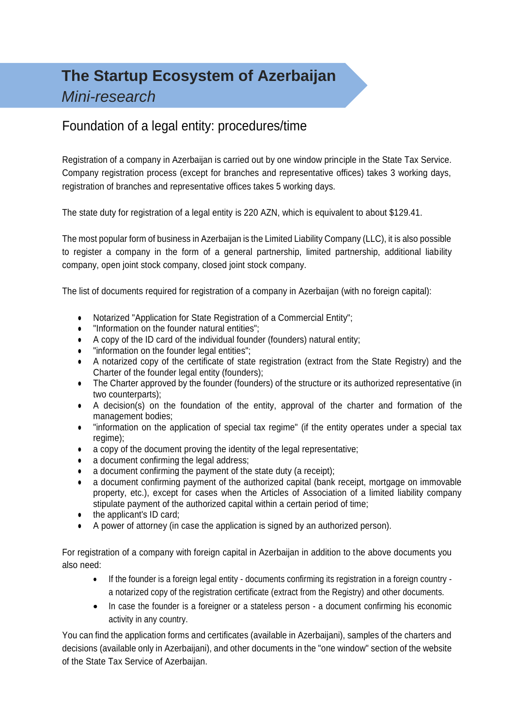# **The Startup Ecosystem of Azerbaijan** *Mini-research*

### Foundation of a legal entity: procedures/time

Registration of a company in Azerbaijan is carried out by one window principle in the State Tax Service. Company registration process (except for branches and representative offices) takes 3 working days, registration of branches and representative offices takes 5 working days.

The state duty for registration of a legal entity is 220 AZN, which is equivalent to about \$129.41.

The most popular form of business in Azerbaijan is the Limited Liability Company (LLC), it is also possible to register a company in the form of a general partnership, limited partnership, additional liability company, open joint stock company, closed joint stock company.

The list of documents required for registration of a company in Azerbaijan (with no foreign capital):

- Notarized "Application for State Registration of a Commercial Entity";
- "Information on the founder natural entities";
- A copy of the ID card of the individual founder (founders) natural entity;
- "information on the founder legal entities";
- A notarized copy of the certificate of state registration (extract from the State Registry) and the Charter of the founder legal entity (founders);
- The Charter approved by the founder (founders) of the structure or its authorized representative (in two counterparts);
- A decision(s) on the foundation of the entity, approval of the charter and formation of the management bodies;
- "information on the application of special tax regime" (if the entity operates under a special tax regime);
- a copy of the document proving the identity of the legal representative;
- a document confirming the legal address:
- $\bullet$  a document confirming the payment of the state duty (a receipt);
- a document confirming payment of the authorized capital (bank receipt, mortgage on immovable property, etc.), except for cases when the Articles of Association of a limited liability company stipulate payment of the authorized capital within a certain period of time;
- the applicant's ID card;
- A power of attorney (in case the application is signed by an authorized person).

For registration of a company with foreign capital in Azerbaijan in addition to the above documents you also need:

- If the founder is a foreign legal entity documents confirming its registration in a foreign country a notarized copy of the registration certificate (extract from the Registry) and other documents.
- In case the founder is a foreigner or a stateless person a document confirming his economic activity in any country.

You can find the application forms and certificates (available in Azerbaijani), samples of the charters and decisions (available only in Azerbaijani), and other documents in the "one window" section of the website of the State Tax Service of Azerbaijan.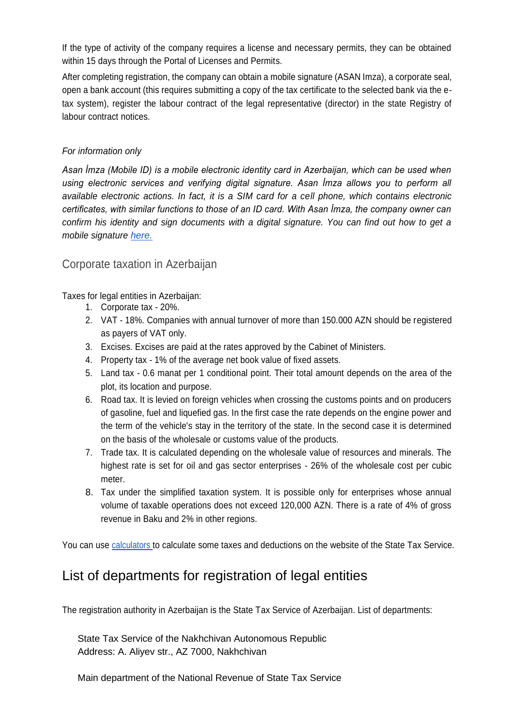If the type of activity of the company requires a license and necessary permits, they can be obtained within 15 days through the Portal of Licenses and Permits.

After completing registration, the company can obtain a mobile signature (ASAN Imza), a corporate seal, open a bank account (this requires submitting a copy of the tax certificate to the selected bank via the etax system), register the labour contract of the legal representative (director) in the state Registry of labour contract notices.

#### *For information only*

*Asan İmza (Mobile ID) is a mobile electronic identity card in Azerbaijan, which can be used when using electronic services and verifying digital signature. Asan İmza allows you to perform all available electronic actions. In fact, it is a SIM card for a cell phone, which contains electronic certificates, with similar functions to those of an ID card. With Asan İmza, the company owner can confirm his identity and sign documents with a digital signature. You can find out how to get a mobile signature [here.](https://asanimza.az/asan-imza-ru/2014/how-to-activate-asan-imza-3/)*

### Corporate taxation in Azerbaijan

Taxes for legal entities in Azerbaijan:

- 1. Corporate tax 20%.
- 2. VAT 18%. Companies with annual turnover of more than 150.000 AZN should be registered as payers of VAT only.
- 3. Excises. Excises are paid at the rates approved by the Cabinet of Ministers.
- 4. Property tax 1% of the average net book value of fixed assets.
- 5. Land tax 0.6 manat per 1 conditional point. Their total amount depends on the area of the plot, its location and purpose.
- 6. Road tax. It is levied on foreign vehicles when crossing the customs points and on producers of gasoline, fuel and liquefied gas. In the first case the rate depends on the engine power and the term of the vehicle's stay in the territory of the state. In the second case it is determined on the basis of the wholesale or customs value of the products.
- 7. Trade tax. It is calculated depending on the wholesale value of resources and minerals. The highest rate is set for oil and gas sector enterprises - 26% of the wholesale cost per cubic meter.
- 8. Tax under the simplified taxation system. It is possible only for enterprises whose annual volume of taxable operations does not exceed 120,000 AZN. There is a rate of 4% of gross revenue in Baku and 2% in other regions.

You can use calculators to calculate some taxes and deductions on the website of the State Tax Service.

### List of departments for registration of legal entities

The registration authority in Azerbaijan is the State Tax Service of Azerbaijan. List of departments:

State Tax Service of the Nakhchivan Autonomous Republic Address: A. Aliyev str., AZ 7000, Nakhchivan

Main department of the National Revenue of State Tax Service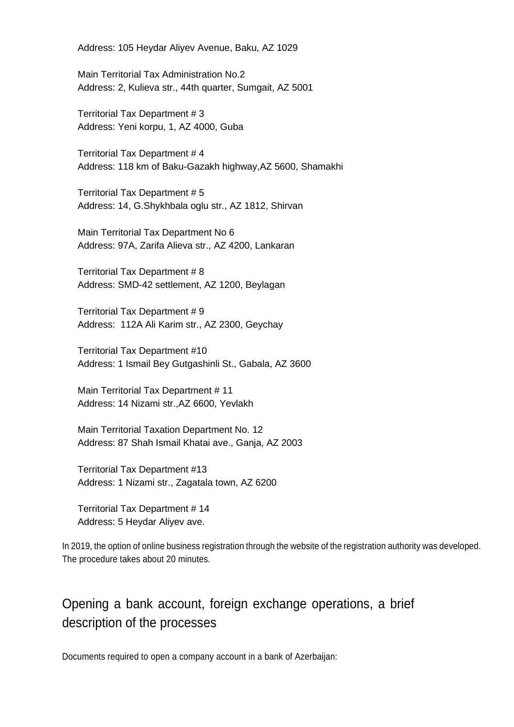Address: 105 Heydar Aliyev Avenue, Baku, AZ 1029

Main Territorial Tax Administration No.2 Address: 2, Kulieva str., 44th quarter, Sumgait, AZ 5001

Territorial Tax Department # 3 Address: Yeni korpu, 1, AZ 4000, Guba

Territorial Tax Department # 4 Address: 118 km of Baku-Gazakh highway,AZ 5600, Shamakhi

Territorial Tax Department # 5 Address: 14, G.Shykhbala oglu str., AZ 1812, Shirvan

Main Territorial Tax Department No 6 Address: 97A, Zarifa Alieva str., AZ 4200, Lankaran

Territorial Tax Department # 8 Address: SMD-42 settlement, AZ 1200, Beylagan

Territorial Tax Department # 9 Address: 112A Ali Karim str., AZ 2300, Geychay

Territorial Tax Department #10 Address: 1 Ismail Bey Gutgashinli St., Gabala, AZ 3600

Main Territorial Tax Department # 11 Address: 14 Nizami str.,AZ 6600, Yevlakh

Main Territorial Taxation Department No. 12 Address: 87 Shah Ismail Khatai ave., Ganja, AZ 2003

Territorial Tax Department #13 Address: 1 Nizami str., Zagatala town, AZ 6200

Territorial Tax Department # 14 Address: 5 Heydar Aliyev ave.

In 2019, the option of online business registration through the website of the registration authority was developed. The procedure takes about 20 minutes.

### Opening a bank account, foreign exchange operations, a brief description of the processes

Documents required to open a company account in a bank of Azerbaijan: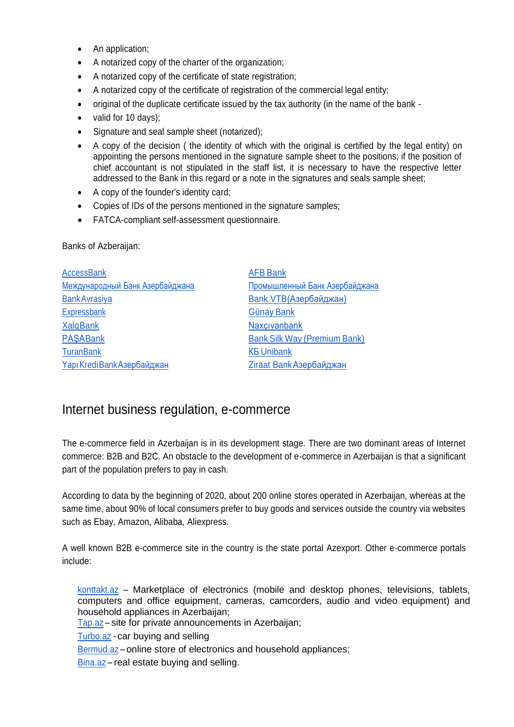- An application;
- A notarized copy of the charter of the organization;
- A notarized copy of the certificate of state registration;
- A notarized copy of the certificate of registration of the commercial legal entity;
- original of the duplicate certificate issued by the tax authority (in the name of the bank -
- valid for 10 days);
- Signature and seal sample sheet (notarized);
- A copy of the decision ( the identity of which with the original is certified by the legal entity) on appointing the persons mentioned in the signature sample sheet to the positions; if the position of chief accountant is not stipulated in the staff list, it is necessary to have the respective letter addressed to the Bank in this regard or a note in the signatures and seals sample sheet;
- A copy of the founder's identity card;
- Copies of IDs of the persons mentioned in the signature samples;
- FATCA-compliant self-assessment questionnaire.

Banks of Azberaijan:

| <b>AccessBank</b>               | <b>AFB Bank</b>                     |
|---------------------------------|-------------------------------------|
| Международный Банк Азербайджана | Промышленный Банк Азербайджана      |
| <b>Bank Avrasiya</b>            | Bank VTB(Азербайджан)               |
| Expressbank                     | Günay Bank                          |
| <b>XalqBank</b>                 | Naxçıvanbank                        |
| <b>PASABank</b>                 | <b>Bank Silk Way (Premium Bank)</b> |
| <b>TuranBank</b>                | <b>KB Unibank</b>                   |
| Yapı Kredi Bank Азербайджан     | Ziraat Bank Азербайджан             |

### Internet business regulation, e-commerce

The e-commerce field in Azerbaijan is in its development stage. There are two dominant areas of Internet commerce: B2B and B2C. An obstacle to the development of e-commerce in Azerbaijan is that a significant part of the population prefers to pay in cash.

According to data by the beginning of 2020, about 200 online stores operated in Azerbaijan, whereas at the same time, about 90% of local consumers prefer to buy goods and services outside the country via websites such as Ebay, Amazon, Alibaba, Aliexpress.

A well known B2B e-commerce site in the country is the state portal Azexport. Other e-commerce portals include:

[konttakt.az](https://kontakt.az/) – Marketplace of electronics (mobile and desktop phones, televisions, tablets, computers and office equipment, cameras, camcorders, audio and video equipment) and household appliances in Azerbaijan;

[Tap.az](https://ru.tap.az/) – site for private announcements in Azerbaijan;

[Turbo.az](https://ru.turbo.az/) - car buying and selling

[Bermud.az](https://bermud.az/ru/) – online store of electronics and household appliances;

[Bina.az](https://ru.bina.az/) – real estate buying and selling.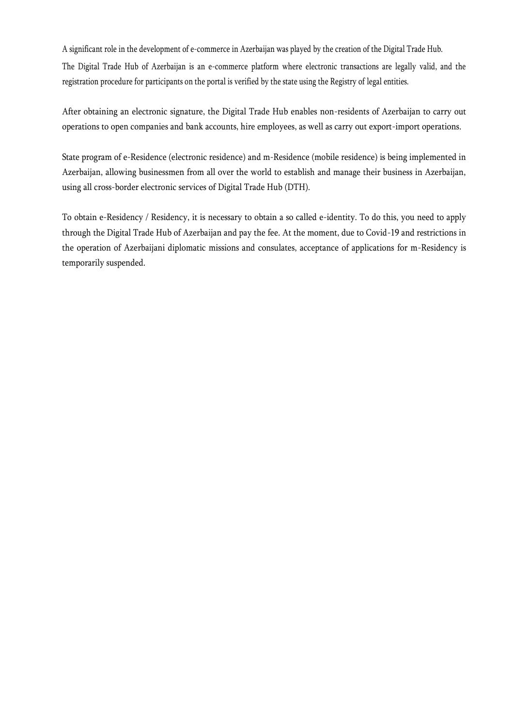A significant role in the development of e-commerce in Azerbaijan was played by the creation of the Digital Trade Hub. The Digital Trade Hub of Azerbaijan is an e-commerce platform where electronic transactions are legally valid, and the registration procedure for participants on the portal is verified by the state using the Registry of legal entities.

After obtaining an electronic signature, the Digital Trade Hub enables non-residents of Azerbaijan to carry out operations to open companies and bank accounts, hire employees, as well as carry out export-import operations.

State program of e-Residence (electronic residence) and m-Residence (mobile residence) is being implemented in Azerbaijan, allowing businessmen from all over the world to establish and manage their business in Azerbaijan, using all cross-border electronic services of Digital Trade Hub (DTH).

To obtain e-Residency / Residency, it is necessary to obtain a so called e-identity. To do this, you need to apply through the Digital Trade Hub of Azerbaijan and pay the fee. At the moment, due to Covid-19 and restrictions in the operation of Azerbaijani diplomatic missions and consulates, acceptance of applications for m-Residency is temporarily suspended.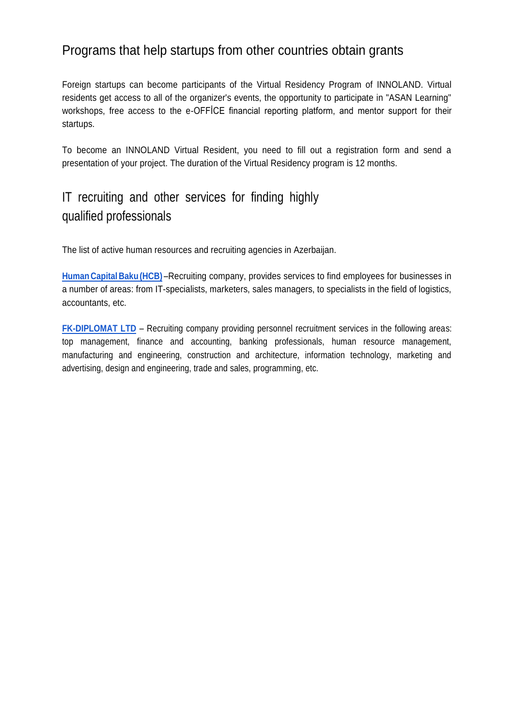### Programs that help startups from other countries obtain grants

Foreign startups can become participants of the Virtual Residency Program of INNOLAND. Virtual residents get access to all of the organizer's events, the opportunity to participate in "ASAN Learning" workshops, free access to the e-OFFİCE financial reporting platform, and mentor support for their startups.

To become an INNOLAND Virtual Resident, you need to fill out a registration form and send a presentation of your project. The duration of the Virtual Residency program is 12 months.

## IT recruiting and other services for finding highly qualified professionals

The list of active human resources and recruiting agencies in Azerbaijan.

**[Human](https://www.hcb.az/) Capital Baku (HCB)** –Recruiting company, provides services to find employees for businesses in a number of areas: from IT-specialists, marketers, sales managers, to specialists in the field of logistics, accountants, etc.

**[FK-DIPLOMAT LTD](http://www.diplomatbaku.com/)** – Recruiting company providing personnel recruitment services in the following areas: top management, finance and accounting, banking professionals, human resource management, manufacturing and engineering, construction and architecture, information technology, marketing and advertising, design and engineering, trade and sales, programming, etc.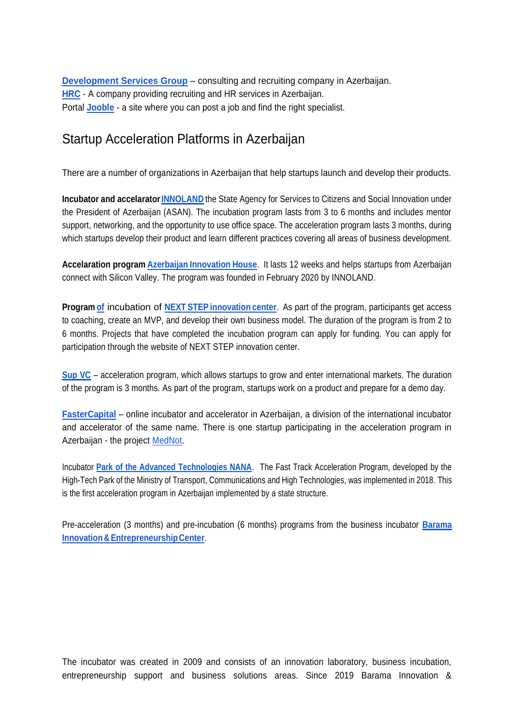**[Development Services Group](https://dsg.az/)** – consulting and recruiting company in Azerbaijan. **[HRC](http://hrcbaku.com/)** - A company providing recruiting and HR services in Azerbaijan. Portal **[Jooble](https://az.jooble.org/)** - a site where you can post a job and find the right specialist.

### Startup Acceleration Platforms in Azerbaijan

There are a number of organizations in Azerbaijan that help startups launch and develop their products.

**Incubator and accelarato[rINNOLAND](http://innoland.az/en)** the State Agency for Services to Citizens and Social Innovation under the President of Azerbaijan (ASAN). The incubation program lasts from 3 to 6 months and includes mentor support, networking, and the opportunity to use office space. The acceleration program lasts 3 months, during which startups develop their product and learn different practices covering all areas of business development.

**Accelaration program Azerbaijan [Innovation](https://azinnovationhouse.com/en) House**. It lasts 12 weeks and helps startups from Azerbaijan connect with Silicon Valley. The program was founded in February 2020 by INNOLAND.

**Program [of](http://icnextstep.com/the-incubation/)** incubation of **NEXT STEP [innovation](http://icnextstep.com/) center**. As part of the program, participants get access to coaching, create an MVP, and develop their own business model. The duration of the program is from 2 to 6 months. Projects that have completed the incubation program can apply for funding. You can apply for participation through the website of NEXT STEP innovation center.

**[Sup VC](https://sup.az/)** – acceleration program, which allows startups to grow and enter international markets. The duration of the program is 3 months. As part of the program, startups work on a product and prepare for a demo day.

**[FasterCapital](https://fastercapital.com/countries/azerbaijan.html)** – online incubator and accelerator in Azerbaijan, a division of the international incubator and accelerator of the same name. There is one startup participating in the acceleration program in Azerbaijan - the project [MedNot.](https://fastercapital.com/accelerated/mednot.html)

Incubator **[Park of the Advanced Technologies NANA](https://ameaytp.az/en/)**. The Fast Track Acceleration Program, developed by the High-Tech Park of the Ministry of Transport, Communications and High Technologies, was implemented in 2018. This is the first acceleration program in Azerbaijan implemented by a state structure.

Pre-acceleration (3 months) and pre-incubation (6 months) programs from the business incubator **[Barama](https://barama.az/) [Innovation&EntrepreneurshipCenter](https://barama.az/)**.

The incubator was created in 2009 and consists of an innovation laboratory, business incubation, entrepreneurship support and business solutions areas. Since 2019 Barama Innovation &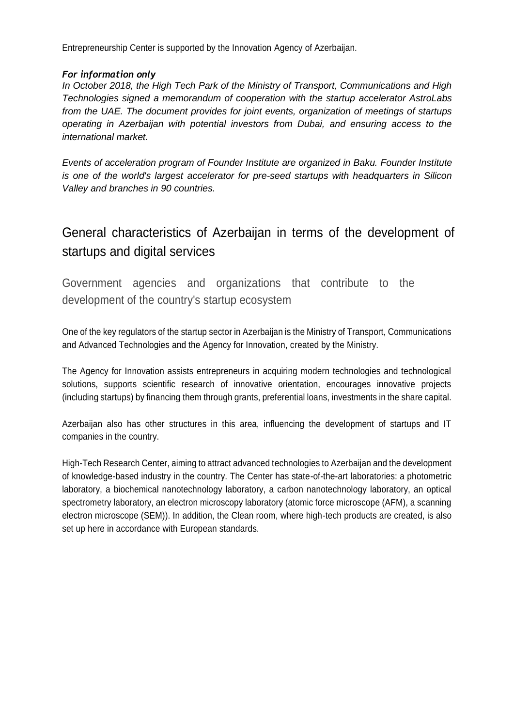Entrepreneurship Center is supported by the Innovation Agency of Azerbaijan.

#### *For information only*

*In October 2018, the High Tech Park of the Ministry of Transport, Communications and High Technologies signed a memorandum of cooperation with the startup accelerator AstroLabs from the UAE. The document provides for joint events, organization of meetings of startups operating in Azerbaijan with potential investors from Dubai, and ensuring access to the international market.*

*Events of acceleration program of Founder Institute are organized in Baku. Founder Institute is one of the world's largest accelerator for pre-seed startups with headquarters in Silicon Valley and branches in 90 countries.*

### General characteristics of Azerbaijan in terms of the development of startups and digital services

Government agencies and organizations that contribute to the development of the country's startup ecosystem

One of the key regulators of the startup sector in Azerbaijan is the Ministry of Transport, Communications and Advanced Technologies and the Agency for Innovation, created by the Ministry.

The Agency for Innovation assists entrepreneurs in acquiring modern technologies and technological solutions, supports scientific research of innovative orientation, encourages innovative projects (including startups) by financing them through grants, preferential loans, investments in the share capital.

Azerbaijan also has other structures in this area, influencing the development of startups and IT companies in the country.

High-Tech Research Center, aiming to attract advanced technologies to Azerbaijan and the development of knowledge-based industry in the country. The Center has state-of-the-art laboratories: a photometric laboratory, a biochemical nanotechnology laboratory, a carbon nanotechnology laboratory, an optical spectrometry laboratory, an electron microscopy laboratory (atomic force microscope (AFM), a scanning electron microscope (SEM)). In addition, the Clean room, where high-tech products are created, is also set up here in accordance with European standards.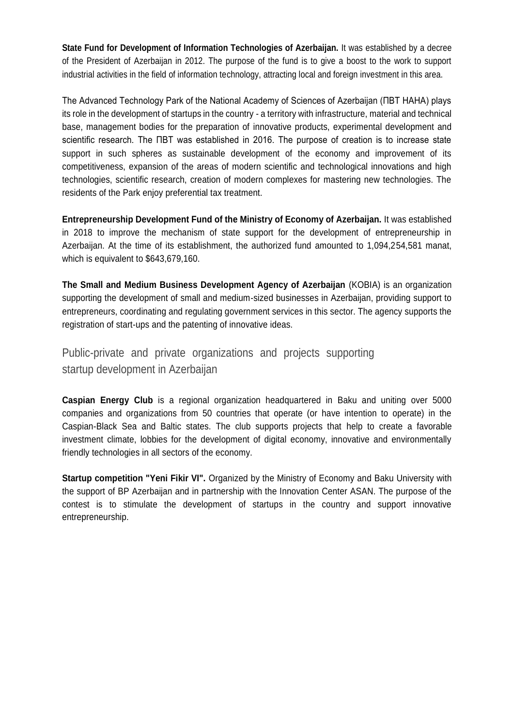**State Fund for Development of Information Technologies of Azerbaijan.** It was established by a decree of the President of Azerbaijan in 2012. The purpose of the fund is to give a boost to the work to support industrial activities in the field of information technology, attracting local and foreign investment in this area.

The Advanced Technology Park of the National Academy of Sciences of Azerbaijan (ПВТ НАНА) plays its role in the development of startups in the country - a territory with infrastructure, material and technical base, management bodies for the preparation of innovative products, experimental development and scientific research. The ПВТ was established in 2016. The purpose of creation is to increase state support in such spheres as sustainable development of the economy and improvement of its competitiveness, expansion of the areas of modern scientific and technological innovations and high technologies, scientific research, creation of modern complexes for mastering new technologies. The residents of the Park enjoy preferential tax treatment.

**Entrepreneurship Development Fund of the Ministry of Economy of Azerbaijan.** It was established in 2018 to improve the mechanism of state support for the development of entrepreneurship in Azerbaijan. At the time of its establishment, the authorized fund amounted to 1,094,254,581 manat, which is equivalent to \$643,679,160.

**The Small and Medium Business Development Agency of Azerbaijan** (KOBIA) is an organization supporting the development of small and medium-sized businesses in Azerbaijan, providing support to entrepreneurs, coordinating and regulating government services in this sector. The agency supports the registration of start-ups and the patenting of innovative ideas.

Public-private and private organizations and projects supporting startup development in Azerbaijan

**Caspian Energy Club** is a regional organization headquartered in Baku and uniting over 5000 companies and organizations from 50 countries that operate (or have intention to operate) in the Caspian-Black Sea and Baltic states. The club supports projects that help to create a favorable investment climate, lobbies for the development of digital economy, innovative and environmentally friendly technologies in all sectors of the economy.

**Startup competition "Yeni Fikir VI".** Organized by the Ministry of Economy and Baku University with the support of BP Azerbaijan and in partnership with the Innovation Center ASAN. The purpose of the contest is to stimulate the development of startups in the country and support innovative entrepreneurship.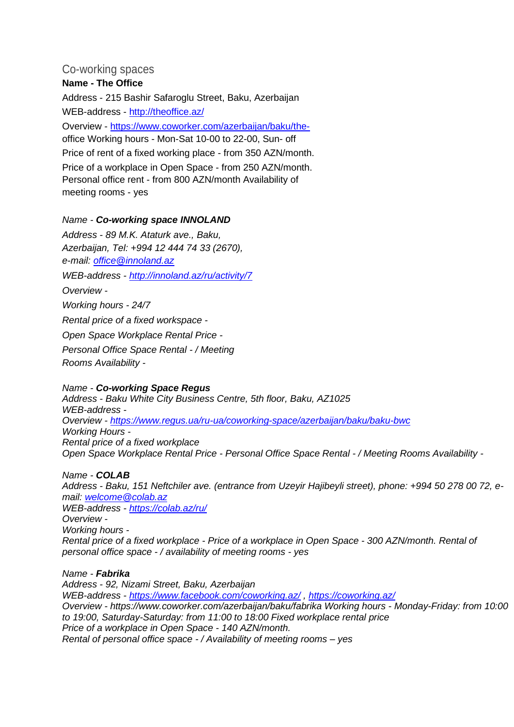#### Co-working spaces

#### **Name - The Office**

Address - 215 Bashir Safaroglu Street, Baku, Azerbaijan WEB-address - <http://theoffice.az/> Overview - [https://www.coworker.com/azerbaijan/baku/the](https://www.coworker.com/azerbaijan/baku/the-)office Working hours - Mon-Sat 10-00 to 22-00, Sun- off Price of rent of a fixed working place - from 350 AZN/month. Price of a workplace in Open Space - from 250 AZN/month. Personal office rent - from 800 AZN/month Availability of meeting rooms - yes

#### *Name - Co-working space INNOLAND*

*Address - 89 M.K. Ataturk ave., Baku, Azerbaijan, Tel: +994 12 444 74 33 (2670), e-mail: [office@innoland.az](mailto:office@innoland.az) WEB-address - <http://innoland.az/ru/activity/7> Overview - Working hours - 24/7 Rental price of a fixed workspace - Open Space Workplace Rental Price - Personal Office Space Rental - / Meeting Rooms Availability -*

*Name - Co-working Space Regus Address - Baku White City Business Centre, 5th floor, Baku, AZ1025 WEB-address - Overview - <https://www.regus.ua/ru-ua/coworking-space/azerbaijan/baku/baku-bwc> Working Hours - Rental price of a fixed workplace Open Space Workplace Rental Price - Personal Office Space Rental - / Meeting Rooms Availability -*

*Name - COLAB Address - Baku, 151 Neftchiler ave. (entrance from Uzeyir Hajibeyli street), phone: +994 50 278 00 72, email: [welcome@colab.az](mailto:welcome@colab.az) WEB-address - <https://colab.az/ru/> Overview - Working hours - Rental price of a fixed workplace - Price of a workplace in Open Space - 300 AZN/month. Rental of personal office space - / availability of meeting rooms - yes*

*Name - Fabrika Address - 92, Nizami Street, Baku, Azerbaijan WEB-address - <https://www.facebook.com/coworking.az/> ,<https://coworking.az/> Overview - https://www.coworker.com/azerbaijan/baku/fabrika Working hours - Monday-Friday: from 10:00 to 19:00, Saturday-Saturday: from 11:00 to 18:00 Fixed workplace rental price Price of a workplace in Open Space - 140 AZN/month. Rental of personal office space - / Availability of meeting rooms – yes*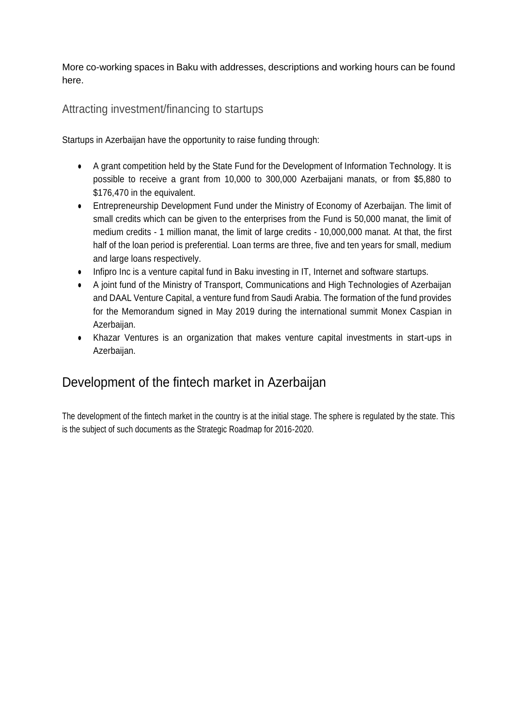More co-working spaces in Baku with addresses, descriptions and working hours can be found here.

Attracting investment/financing to startups

Startups in Azerbaijan have the opportunity to raise funding through:

- A grant competition held by the State Fund for the Development of Information Technology. It is possible to receive a grant from 10,000 to 300,000 Azerbaijani manats, or from \$5,880 to \$176,470 in the equivalent.
- Entrepreneurship Development Fund under the Ministry of Economy of Azerbaijan. The limit of small credits which can be given to the enterprises from the Fund is 50,000 manat, the limit of medium credits - 1 million manat, the limit of large credits - 10,000,000 manat. At that, the first half of the loan period is preferential. Loan terms are three, five and ten years for small, medium and large loans respectively.
- Infipro Inc is a venture capital fund in Baku investing in IT, Internet and software startups.
- A joint fund of the Ministry of Transport, Communications and High Technologies of Azerbaijan and DAAL Venture Capital, a venture fund from Saudi Arabia. The formation of the fund provides for the Memorandum signed in May 2019 during the international summit Monex Caspian in Azerbaijan.
- Khazar Ventures is an organization that makes venture capital investments in start-ups in Azerbaijan.

### Development of the fintech market in Azerbaijan

The development of the fintech market in the country is at the initial stage. The sphere is regulated by the state. This is the subject of such documents as the Strategic Roadmap for 2016-2020.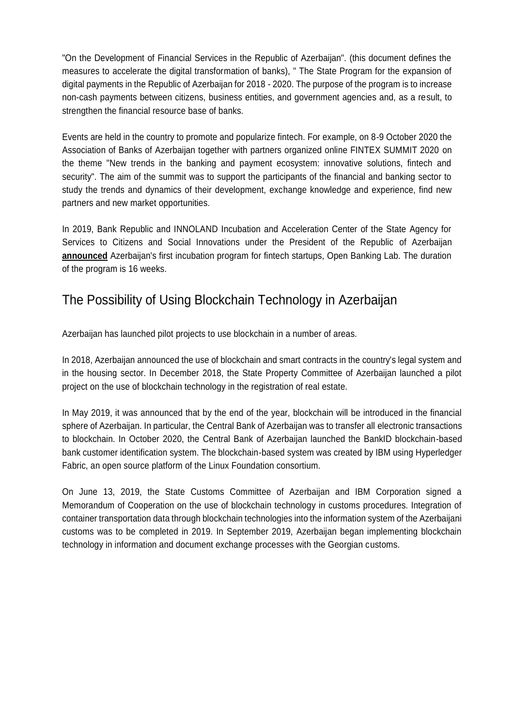"On the Development of Financial Services in the Republic of Azerbaijan". (this document defines the measures to accelerate the digital transformation of banks), " The State Program for the expansion of digital payments in the Republic of Azerbaijan for 2018 - 2020. The purpose of the program is to increase non-cash payments between citizens, business entities, and government agencies and, as a result, to strengthen the financial resource base of banks.

Events are held in the country to promote and popularize fintech. For example, on 8-9 October 2020 the Association of Banks of Azerbaijan together with partners organized online FINTEX SUMMIT 2020 on the theme "New trends in the banking and payment ecosystem: innovative solutions, fintech and security". The aim of the summit was to support the participants of the financial and banking sector to study the trends and dynamics of their development, exchange knowledge and experience, find new partners and new market opportunities.

In 2019, Bank Republic and INNOLAND Incubation and Acceleration Center of the State Agency for Services to Citizens and Social Innovations under the President of the Republic of Azerbaijan **announced** Azerbaijan's first incubation program for fintech startups, Open Banking Lab. The duration of the program is 16 weeks.

### The Possibility of Using Blockchain Technology in Azerbaijan

Azerbaijan has launched pilot projects to use blockchain in a number of areas.

In 2018, Azerbaijan announced the use of blockchain and smart contracts in the country's legal system and in the housing sector. In December 2018, the State Property Committee of Azerbaijan launched a pilot project on the use of blockchain technology in the registration of real estate.

In May 2019, it was announced that by the end of the year, blockchain will be introduced in the financial sphere of Azerbaijan. In particular, the Central Bank of Azerbaijan was to transfer all electronic transactions to blockchain. In October 2020, the Central Bank of Azerbaijan launched the BankID blockchain-based bank customer identification system. The blockchain-based system was created by IBM using Hyperledger Fabric, an open source platform of the Linux Foundation consortium.

On June 13, 2019, the State Customs Committee of Azerbaijan and IBM Corporation signed a Memorandum of Cooperation on the use of blockchain technology in customs procedures. Integration of container transportation data through blockchain technologies into the information system of the Azerbaijani customs was to be completed in 2019. In September 2019, Azerbaijan began implementing blockchain technology in information and document exchange processes with the Georgian customs.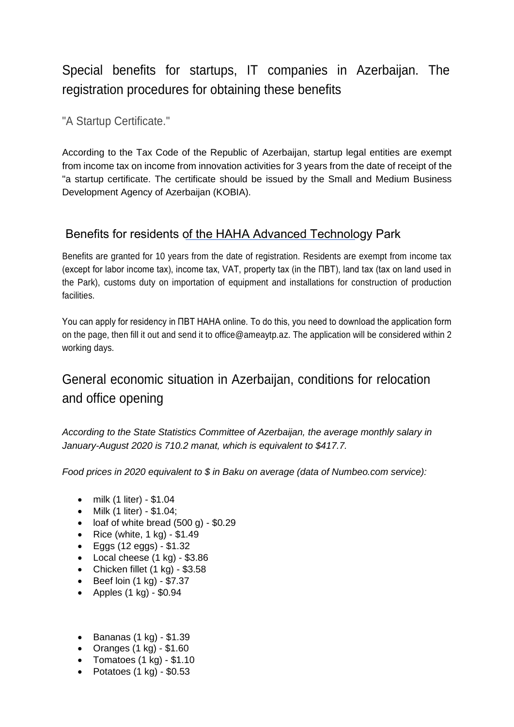## Special benefits for startups, IT companies in Azerbaijan. The registration procedures for obtaining these benefits

"A Startup Certificate."

According to the Tax Code of the Republic of Azerbaijan, startup legal entities are exempt from income tax on income from innovation activities for 3 years from the date of receipt of the "a startup certificate. The certificate should be issued by the Small and Medium Business Development Agency of Azerbaijan (KOBIA).

### Benefits for residents of the НАНА Advanced Technology Park

Benefits are granted for 10 years from the date of registration. Residents are exempt from income tax (except for labor income tax), income tax, VAT, property tax (in the ПВТ), land tax (tax on land used in the Park), customs duty on importation of equipment and installations for construction of production facilities.

You can apply for residency in ПВТ НАНА online. To do this, you need to download the application form on the page, then fill it out and send it to office@ameaytp.az. The application will be considered within 2 working days.

## General economic situation in Azerbaijan, conditions for relocation and office opening

*According to the State Statistics Committee of Azerbaijan, the average monthly salary in January-August 2020 is 710.2 manat, which is equivalent to \$417.7.*

*Food prices in 2020 equivalent to \$ in Baku on average (data of Numbeo.com service):*

- milk (1 liter) \$1.04
- Milk (1 liter) \$1.04;
- loaf of white bread  $(500 g)$  \$0.29
- Rice (white,  $1$  kg) \$1.49
- Eggs (12 eggs) \$1.32
- Local cheese (1 kg) \$3.86
- Chicken fillet  $(1 \text{ kg})$  \$3.58
- Beef loin (1 kg) \$7.37
- Apples  $(1 \text{ kg}) $0.94$
- Bananas (1 kg) \$1.39
- Oranges  $(1 \text{ kg}) $1.60$
- Tomatoes  $(1 \text{ kg}) $1.10$
- Potatoes  $(1 \text{ kg}) $0.53$